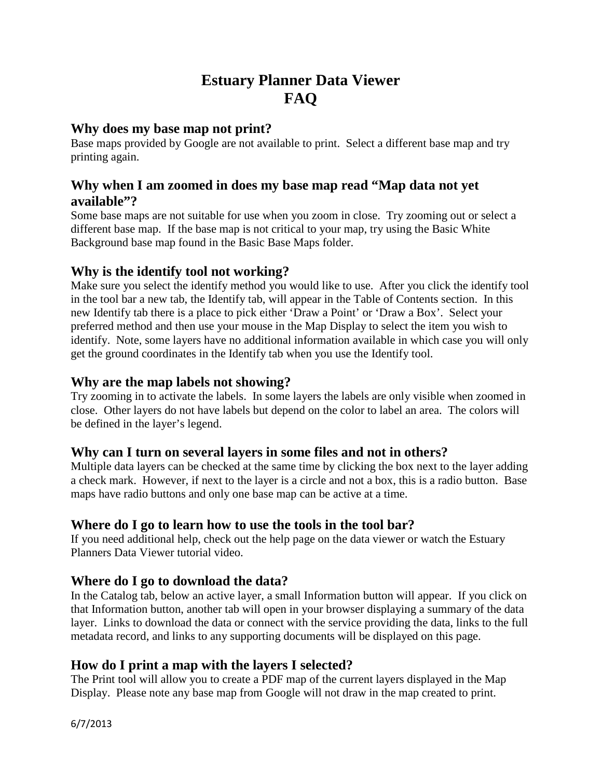# **Estuary Planner Data Viewer FAQ**

### **Why does my base map not print?**

Base maps provided by Google are not available to print. Select a different base map and try printing again.

# **Why when I am zoomed in does my base map read "Map data not yet available"?**

Some base maps are not suitable for use when you zoom in close. Try zooming out or select a different base map. If the base map is not critical to your map, try using the Basic White Background base map found in the Basic Base Maps folder.

### **Why is the identify tool not working?**

Make sure you select the identify method you would like to use. After you click the identify tool in the tool bar a new tab, the Identify tab, will appear in the Table of Contents section. In this new Identify tab there is a place to pick either 'Draw a Point' or 'Draw a Box'. Select your preferred method and then use your mouse in the Map Display to select the item you wish to identify. Note, some layers have no additional information available in which case you will only get the ground coordinates in the Identify tab when you use the Identify tool.

### **Why are the map labels not showing?**

Try zooming in to activate the labels. In some layers the labels are only visible when zoomed in close. Other layers do not have labels but depend on the color to label an area. The colors will be defined in the layer's legend.

### **Why can I turn on several layers in some files and not in others?**

Multiple data layers can be checked at the same time by clicking the box next to the layer adding a check mark. However, if next to the layer is a circle and not a box, this is a radio button. Base maps have radio buttons and only one base map can be active at a time.

### **Where do I go to learn how to use the tools in the tool bar?**

If you need additional help, check out the help page on the data viewer or watch the Estuary Planners Data Viewer tutorial video.

### **Where do I go to download the data?**

In the Catalog tab, below an active layer, a small Information button will appear. If you click on that Information button, another tab will open in your browser displaying a summary of the data layer. Links to download the data or connect with the service providing the data, links to the full metadata record, and links to any supporting documents will be displayed on this page.

#### **How do I print a map with the layers I selected?**

The Print tool will allow you to create a PDF map of the current layers displayed in the Map Display. Please note any base map from Google will not draw in the map created to print.